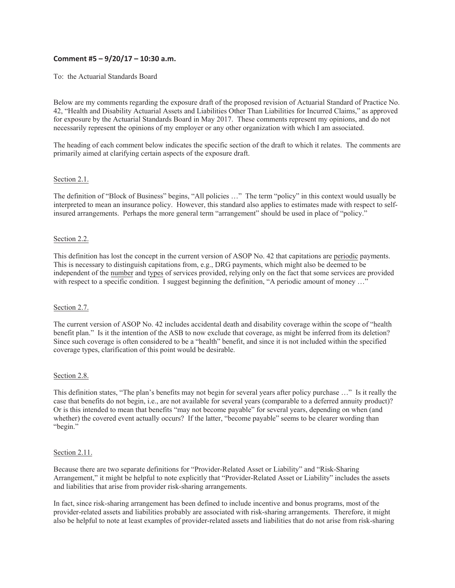# **Comment #5 – 9/20/17 – 10:30 a.m.**

To: the Actuarial Standards Board

Below are my comments regarding the exposure draft of the proposed revision of Actuarial Standard of Practice No. 42, "Health and Disability Actuarial Assets and Liabilities Other Than Liabilities for Incurred Claims," as approved for exposure by the Actuarial Standards Board in May 2017. These comments represent my opinions, and do not necessarily represent the opinions of my employer or any other organization with which I am associated.

The heading of each comment below indicates the specific section of the draft to which it relates. The comments are primarily aimed at clarifying certain aspects of the exposure draft.

## Section 2.1.

The definition of "Block of Business" begins, "All policies …" The term "policy" in this context would usually be interpreted to mean an insurance policy. However, this standard also applies to estimates made with respect to selfinsured arrangements. Perhaps the more general term "arrangement" should be used in place of "policy."

## Section 2.2.

This definition has lost the concept in the current version of ASOP No. 42 that capitations are periodic payments. This is necessary to distinguish capitations from, e.g., DRG payments, which might also be deemed to be independent of the number and types of services provided, relying only on the fact that some services are provided with respect to a specific condition. I suggest beginning the definition, "A periodic amount of money ..."

#### Section 2.7.

The current version of ASOP No. 42 includes accidental death and disability coverage within the scope of "health benefit plan." Is it the intention of the ASB to now exclude that coverage, as might be inferred from its deletion? Since such coverage is often considered to be a "health" benefit, and since it is not included within the specified coverage types, clarification of this point would be desirable.

#### Section 2.8.

This definition states, "The plan's benefits may not begin for several years after policy purchase …" Is it really the case that benefits do not begin, i.e., are not available for several years (comparable to a deferred annuity product)? Or is this intended to mean that benefits "may not become payable" for several years, depending on when (and whether) the covered event actually occurs? If the latter, "become payable" seems to be clearer wording than "begin."

#### Section 2.11.

Because there are two separate definitions for "Provider-Related Asset or Liability" and "Risk-Sharing Arrangement," it might be helpful to note explicitly that "Provider-Related Asset or Liability" includes the assets and liabilities that arise from provider risk-sharing arrangements.

In fact, since risk-sharing arrangement has been defined to include incentive and bonus programs, most of the provider-related assets and liabilities probably are associated with risk-sharing arrangements. Therefore, it might also be helpful to note at least examples of provider-related assets and liabilities that do not arise from risk-sharing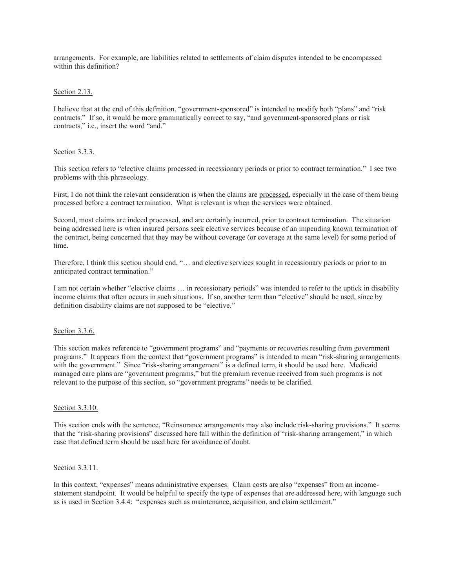arrangements. For example, are liabilities related to settlements of claim disputes intended to be encompassed within this definition?

## Section 2.13.

I believe that at the end of this definition, "government-sponsored" is intended to modify both "plans" and "risk contracts." If so, it would be more grammatically correct to say, "and government-sponsored plans or risk contracts," i.e., insert the word "and."

## Section 3.3.3.

This section refers to "elective claims processed in recessionary periods or prior to contract termination." I see two problems with this phraseology.

First, I do not think the relevant consideration is when the claims are processed, especially in the case of them being processed before a contract termination. What is relevant is when the services were obtained.

Second, most claims are indeed processed, and are certainly incurred, prior to contract termination. The situation being addressed here is when insured persons seek elective services because of an impending known termination of the contract, being concerned that they may be without coverage (or coverage at the same level) for some period of time.

Therefore, I think this section should end, "… and elective services sought in recessionary periods or prior to an anticipated contract termination."

I am not certain whether "elective claims … in recessionary periods" was intended to refer to the uptick in disability income claims that often occurs in such situations. If so, another term than "elective" should be used, since by definition disability claims are not supposed to be "elective."

#### Section 3.3.6.

This section makes reference to "government programs" and "payments or recoveries resulting from government programs." It appears from the context that "government programs" is intended to mean "risk-sharing arrangements with the government." Since "risk-sharing arrangement" is a defined term, it should be used here. Medicaid managed care plans are "government programs," but the premium revenue received from such programs is not relevant to the purpose of this section, so "government programs" needs to be clarified.

#### Section 3.3.10.

This section ends with the sentence, "Reinsurance arrangements may also include risk-sharing provisions." It seems that the "risk-sharing provisions" discussed here fall within the definition of "risk-sharing arrangement," in which case that defined term should be used here for avoidance of doubt.

### Section 3.3.11.

In this context, "expenses" means administrative expenses. Claim costs are also "expenses" from an incomestatement standpoint. It would be helpful to specify the type of expenses that are addressed here, with language such as is used in Section 3.4.4: "expenses such as maintenance, acquisition, and claim settlement."